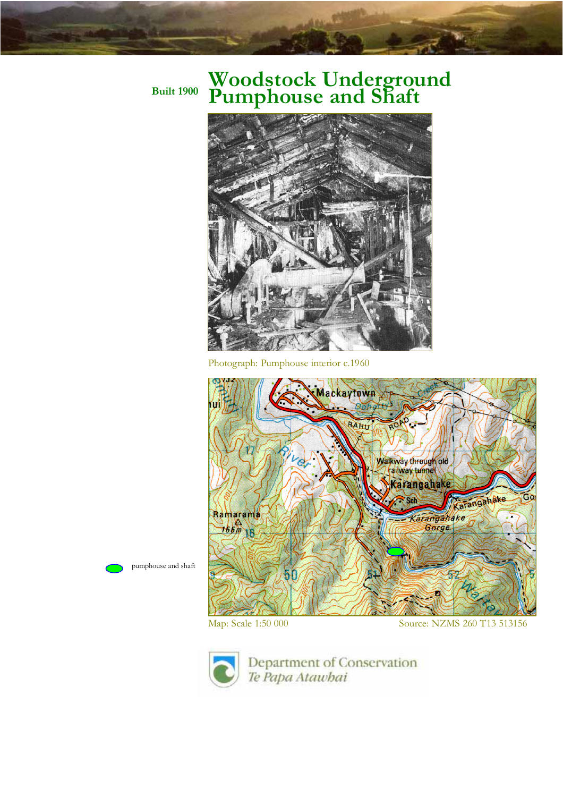## **Built 1900 Woodstock Underground Pumphouse and Shaft**



Photograph: Pumphouse interior c.1960







Department of Conservation Te Papa Atawhai